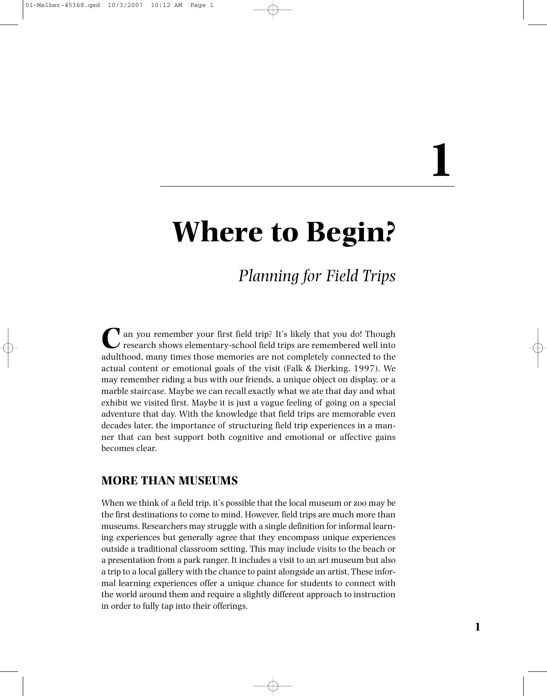# **1**

# **Where to Begin?**

# *Planning for Field Trips*

**C**an you remember your first field trip? It's likely that you do! Though research shows elementary-school field trips are remembered well into adulthood, many times those memories are not completely connected to the actual content or emotional goals of the visit (Falk & Dierking, 1997). We may remember riding a bus with our friends, a unique object on display, or a marble staircase. Maybe we can recall exactly what we ate that day and what exhibit we visited first. Maybe it is just a vague feeling of going on a special adventure that day. With the knowledge that field trips are memorable even decades later, the importance of structuring field trip experiences in a manner that can best support both cognitive and emotional or affective gains becomes clear.

#### **MORE THAN MUSEUMS**

When we think of a field trip, it's possible that the local museum or zoo may be the first destinations to come to mind. However, field trips are much more than museums. Researchers may struggle with a single definition for informal learning experiences but generally agree that they encompass unique experiences outside a traditional classroom setting. This may include visits to the beach or a presentation from a park ranger. It includes a visit to an art museum but also a trip to a local gallery with the chance to paint alongside an artist. These informal learning experiences offer a unique chance for students to connect with the world around them and require a slightly different approach to instruction in order to fully tap into their offerings.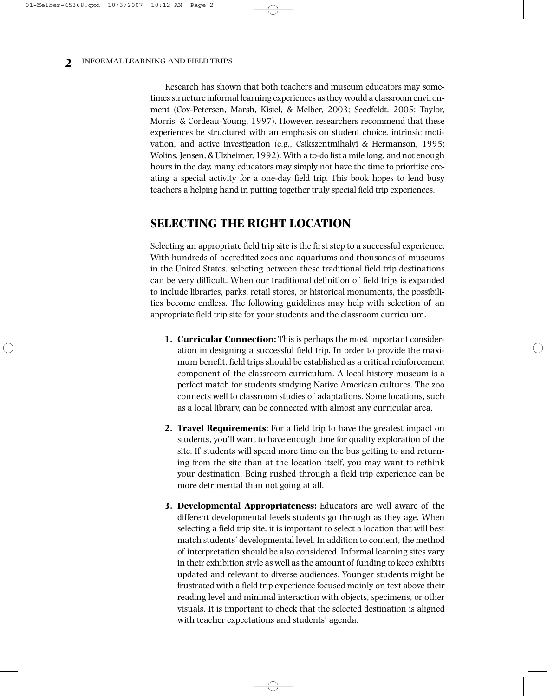Research has shown that both teachers and museum educators may sometimes structure informal learning experiences as they would a classroom environment (Cox-Petersen, Marsh, Kisiel, & Melber, 2003; Seedfeldt, 2005; Taylor, Morris, & Cordeau-Young, 1997). However, researchers recommend that these experiences be structured with an emphasis on student choice, intrinsic motivation, and active investigation (e.g., Csikszentmihalyi & Hermanson, 1995; Wolins, Jensen, & Ulzheimer, 1992). With a to-do list a mile long, and not enough hours in the day, many educators may simply not have the time to prioritize creating a special activity for a one-day field trip. This book hopes to lend busy teachers a helping hand in putting together truly special field trip experiences.

#### **SELECTING THE RIGHT LOCATION**

Selecting an appropriate field trip site is the first step to a successful experience. With hundreds of accredited zoos and aquariums and thousands of museums in the United States, selecting between these traditional field trip destinations can be very difficult. When our traditional definition of field trips is expanded to include libraries, parks, retail stores, or historical monuments, the possibilities become endless. The following guidelines may help with selection of an appropriate field trip site for your students and the classroom curriculum.

- **1. Curricular Connection:** This is perhaps the most important consideration in designing a successful field trip. In order to provide the maximum benefit, field trips should be established as a critical reinforcement component of the classroom curriculum. A local history museum is a perfect match for students studying Native American cultures. The zoo connects well to classroom studies of adaptations. Some locations, such as a local library, can be connected with almost any curricular area.
- **2. Travel Requirements:** For a field trip to have the greatest impact on students, you'll want to have enough time for quality exploration of the site. If students will spend more time on the bus getting to and returning from the site than at the location itself, you may want to rethink your destination. Being rushed through a field trip experience can be more detrimental than not going at all.
- **3. Developmental Appropriateness:** Educators are well aware of the different developmental levels students go through as they age. When selecting a field trip site, it is important to select a location that will best match students' developmental level. In addition to content, the method of interpretation should be also considered. Informal learning sites vary in their exhibition style as well as the amount of funding to keep exhibits updated and relevant to diverse audiences. Younger students might be frustrated with a field trip experience focused mainly on text above their reading level and minimal interaction with objects, specimens, or other visuals. It is important to check that the selected destination is aligned with teacher expectations and students' agenda.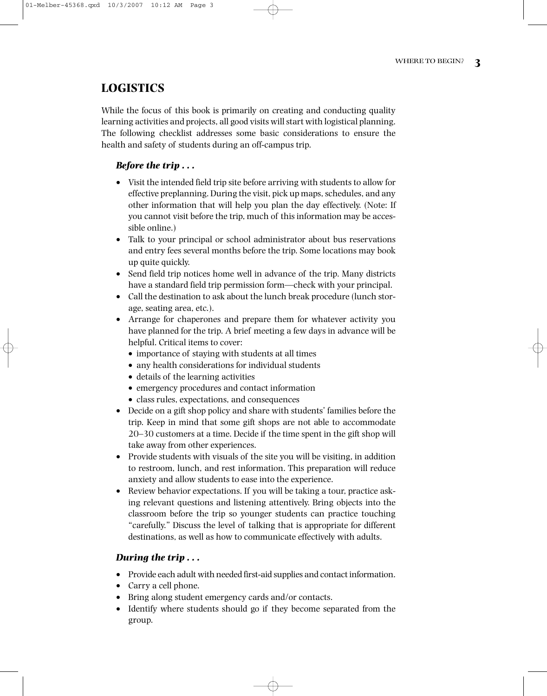# **LOGISTICS**

While the focus of this book is primarily on creating and conducting quality learning activities and projects, all good visits will start with logistical planning. The following checklist addresses some basic considerations to ensure the health and safety of students during an off-campus trip.

#### *Before the trip . . .*

- Visit the intended field trip site before arriving with students to allow for effective preplanning. During the visit, pick up maps, schedules, and any other information that will help you plan the day effectively. (Note: If you cannot visit before the trip, much of this information may be accessible online.)
- Talk to your principal or school administrator about bus reservations and entry fees several months before the trip. Some locations may book up quite quickly.
- Send field trip notices home well in advance of the trip. Many districts have a standard field trip permission form—check with your principal.
- Call the destination to ask about the lunch break procedure (lunch storage, seating area, etc.).
- Arrange for chaperones and prepare them for whatever activity you have planned for the trip. A brief meeting a few days in advance will be helpful. Critical items to cover:
	- importance of staying with students at all times
	- any health considerations for individual students
	- details of the learning activities
	- emergency procedures and contact information
	- class rules, expectations, and consequences
- Decide on a gift shop policy and share with students' families before the trip. Keep in mind that some gift shops are not able to accommodate 20–30 customers at a time. Decide if the time spent in the gift shop will take away from other experiences.
- Provide students with visuals of the site you will be visiting, in addition to restroom, lunch, and rest information. This preparation will reduce anxiety and allow students to ease into the experience.
- Review behavior expectations. If you will be taking a tour, practice asking relevant questions and listening attentively. Bring objects into the classroom before the trip so younger students can practice touching "carefully." Discuss the level of talking that is appropriate for different destinations, as well as how to communicate effectively with adults.

#### *During the trip . . .*

- Provide each adult with needed first-aid supplies and contact information.
- Carry a cell phone.
- Bring along student emergency cards and/or contacts.
- Identify where students should go if they become separated from the group.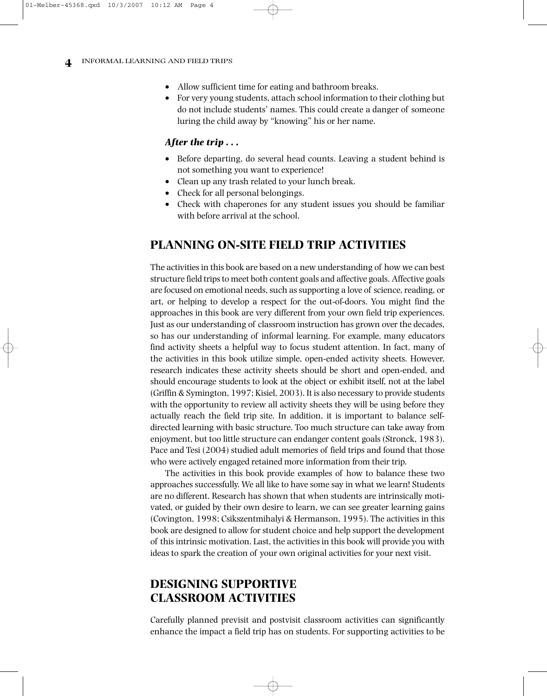- Allow sufficient time for eating and bathroom breaks.
- For very young students, attach school information to their clothing but do not include students' names. This could create a danger of someone luring the child away by "knowing" his or her name.

#### *After the trip . . .*

- Before departing, do several head counts. Leaving a student behind is not something you want to experience!
- Clean up any trash related to your lunch break.
- Check for all personal belongings.
- Check with chaperones for any student issues you should be familiar with before arrival at the school.

#### **PLANNING ON-SITE FIELD TRIP ACTIVITIES**

The activities in this book are based on a new understanding of how we can best structure field trips to meet both content goals and affective goals. Affective goals are focused on emotional needs, such as supporting a love of science, reading, or art, or helping to develop a respect for the out-of-doors. You might find the approaches in this book are very different from your own field trip experiences. Just as our understanding of classroom instruction has grown over the decades, so has our understanding of informal learning. For example, many educators find activity sheets a helpful way to focus student attention. In fact, many of the activities in this book utilize simple, open-ended activity sheets. However, research indicates these activity sheets should be short and open-ended, and should encourage students to look at the object or exhibit itself, not at the label (Griffin & Symington, 1997; Kisiel, 2003). It is also necessary to provide students with the opportunity to review all activity sheets they will be using before they actually reach the field trip site. In addition, it is important to balance selfdirected learning with basic structure. Too much structure can take away from enjoyment, but too little structure can endanger content goals (Stronck, 1983). Pace and Tesi (2004) studied adult memories of field trips and found that those who were actively engaged retained more information from their trip.

The activities in this book provide examples of how to balance these two approaches successfully. We all like to have some say in what we learn! Students are no different. Research has shown that when students are intrinsically motivated, or guided by their own desire to learn, we can see greater learning gains (Covington, 1998; Csikszentmihalyi & Hermanson, 1995). The activities in this book are designed to allow for student choice and help support the development of this intrinsic motivation. Last, the activities in this book will provide you with ideas to spark the creation of your own original activities for your next visit.

#### **DESIGNING SUPPORTIVE CLASSROOM ACTIVITIES**

Carefully planned previsit and postvisit classroom activities can significantly enhance the impact a field trip has on students. For supporting activities to be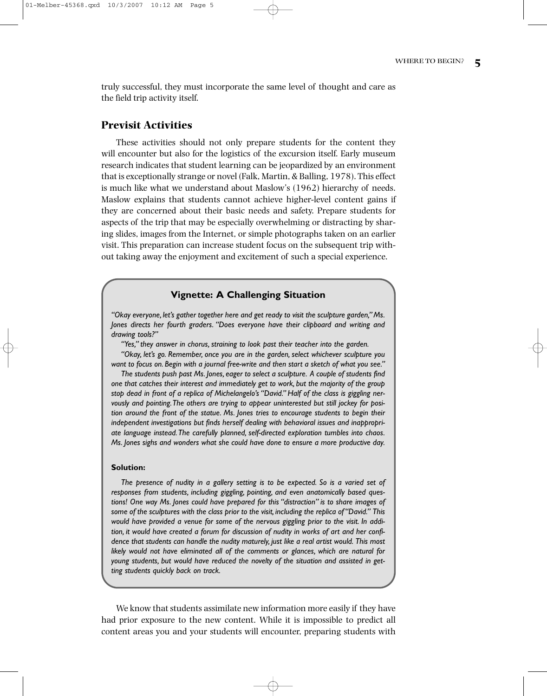truly successful, they must incorporate the same level of thought and care as the field trip activity itself.

#### **Previsit Activities**

These activities should not only prepare students for the content they will encounter but also for the logistics of the excursion itself. Early museum research indicates that student learning can be jeopardized by an environment that is exceptionally strange or novel (Falk, Martin, & Balling, 1978). This effect is much like what we understand about Maslow's (1962) hierarchy of needs. Maslow explains that students cannot achieve higher-level content gains if they are concerned about their basic needs and safety. Prepare students for aspects of the trip that may be especially overwhelming or distracting by sharing slides, images from the Internet, or simple photographs taken on an earlier visit. This preparation can increase student focus on the subsequent trip without taking away the enjoyment and excitement of such a special experience.

#### **Vignette: A Challenging Situation**

*"Okay everyone, let's gather together here and get ready to visit the sculpture garden," Ms. Jones directs her fourth graders. "Does everyone have their clipboard and writing and drawing tools?"*

*"Yes," they answer in chorus, straining to look past their teacher into the garden.*

*"Okay, let's go. Remember, once you are in the garden, select whichever sculpture you want to focus on. Begin with a journal free-write and then start a sketch of what you see."*

*The students push past Ms. Jones, eager to select a sculpture. A couple of students find one that catches their interest and immediately get to work, but the majority of the group stop dead in front of a replica of Michelangelo's "David." Half of the class is giggling nervously and pointing.The others are trying to appear uninterested but still jockey for position around the front of the statue. Ms. Jones tries to encourage students to begin their independent investigations but finds herself dealing with behavioral issues and inappropriate language instead.The carefully planned, self-directed exploration tumbles into chaos. Ms. Jones sighs and wonders what she could have done to ensure a more productive day.*

#### **Solution:**

*The presence of nudity in a gallery setting is to be expected. So is a varied set of responses from students, including giggling, pointing, and even anatomically based questions! One way Ms. Jones could have prepared for this "distraction" is to share images of some of the sculptures with the class prior to the visit, including the replica of "David." This would have provided a venue for some of the nervous giggling prior to the visit. In addition, it would have created a forum for discussion of nudity in works of art and her confidence that students can handle the nudity maturely, just like a real artist would. This most likely would not have eliminated all of the comments or glances, which are natural for young students, but would have reduced the novelty of the situation and assisted in getting students quickly back on track.*

We know that students assimilate new information more easily if they have had prior exposure to the new content. While it is impossible to predict all content areas you and your students will encounter, preparing students with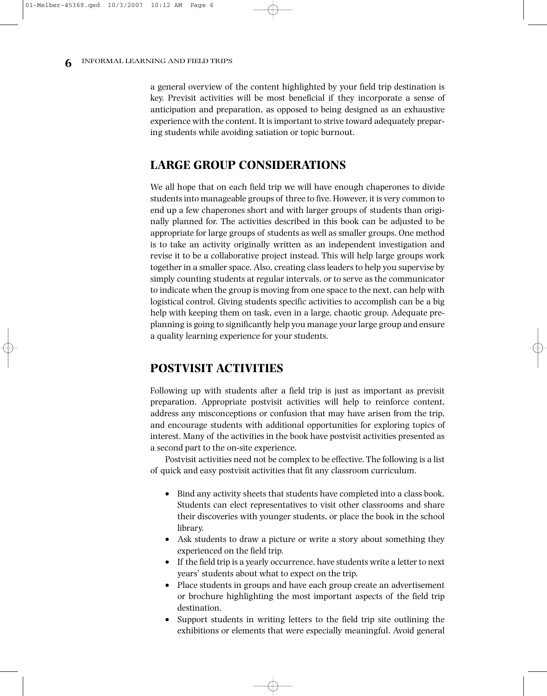a general overview of the content highlighted by your field trip destination is key. Previsit activities will be most beneficial if they incorporate a sense of anticipation and preparation, as opposed to being designed as an exhaustive experience with the content. It is important to strive toward adequately preparing students while avoiding satiation or topic burnout.

### **LARGE GROUP CONSIDERATIONS**

We all hope that on each field trip we will have enough chaperones to divide students into manageable groups of three to five. However, it is very common to end up a few chaperones short and with larger groups of students than originally planned for. The activities described in this book can be adjusted to be appropriate for large groups of students as well as smaller groups. One method is to take an activity originally written as an independent investigation and revise it to be a collaborative project instead. This will help large groups work together in a smaller space. Also, creating class leaders to help you supervise by simply counting students at regular intervals, or to serve as the communicator to indicate when the group is moving from one space to the next, can help with logistical control. Giving students specific activities to accomplish can be a big help with keeping them on task, even in a large, chaotic group. Adequate preplanning is going to significantly help you manage your large group and ensure a quality learning experience for your students.

#### **POSTVISIT ACTIVITIES**

Following up with students after a field trip is just as important as previsit preparation. Appropriate postvisit activities will help to reinforce content, address any misconceptions or confusion that may have arisen from the trip, and encourage students with additional opportunities for exploring topics of interest. Many of the activities in the book have postvisit activities presented as a second part to the on-site experience.

Postvisit activities need not be complex to be effective. The following is a list of quick and easy postvisit activities that fit any classroom curriculum.

- Bind any activity sheets that students have completed into a class book. Students can elect representatives to visit other classrooms and share their discoveries with younger students, or place the book in the school library.
- Ask students to draw a picture or write a story about something they experienced on the field trip.
- If the field trip is a yearly occurrence, have students write a letter to next years' students about what to expect on the trip.
- Place students in groups and have each group create an advertisement or brochure highlighting the most important aspects of the field trip destination.
- Support students in writing letters to the field trip site outlining the exhibitions or elements that were especially meaningful. Avoid general